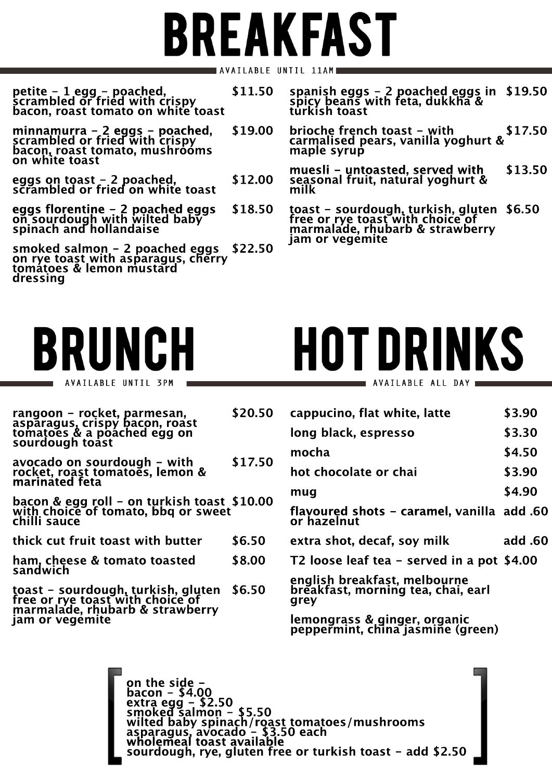**rangoon - rocket, parmesan, asparagus, crispy bacon, roast tomatoes & a poached egg on sourdough toast**

> **breakfast, morning tea, chai, earl grey**

**avocado on sourdough - with rocket, roast tomatoes, lemon & marinated feta \$17.50**

**bacon & egg roll - on turkish toast with choice of tomato, bbq or sweet chilli sauce \$10.00**

> **lemongrass & ginger, organic peppermint, china jasmine (green)**

**thick cut fruit toast with butter \$6.50**

**ham, cheese & tomato toasted sandwich \$8.00**

**toast - sourdough, turkish, gluten free or rye toast with choice of marmalade, rhubarb & strawberry jam or vegemite \$6.50**

## **HOT DRINKS** AVAILABLE ALL DAY

| cappucino, flat white, latte                              | \$3.90         |
|-----------------------------------------------------------|----------------|
| long black, espresso                                      | \$3.30         |
| mocha                                                     | \$4.50         |
| hot chocolate or chai                                     | \$3.90         |
| mug                                                       | \$4.90         |
| flavoured shots - caramel, vanilla add .60<br>or hazelnut |                |
| extra shot, decaf, soy milk                               | <b>add</b> .60 |
| T2 loose leaf tea – served in a pot \$4.00                |                |
| english breakfast, melbourne                              |                |

## **BREAKFAST AVAILABLE UNTIL 11AM**

| petite - 1 egg - poached,<br>scrambled or fried with crispy<br>bacon, roast tomato on white toast                    | \$11.50 | spanish eggs - 2 poached eggs in<br>spicy beans with feta, dukkha &<br>türkish toast                      | \$19.50 |
|----------------------------------------------------------------------------------------------------------------------|---------|-----------------------------------------------------------------------------------------------------------|---------|
| minnamurra - 2 eggs - poached,<br>scrambled or fried with crispy<br>bacon, roast tomato, mushrooms<br>on white toast | \$19.00 | brioche french toast - with<br>carmalised pears, vanilla yoghurt &<br>maple syrup                         | \$17.50 |
| eggs on toast - 2 poached,<br>scrambled or fried on white toast                                                      | \$12.00 | muesli – untoasted, served with<br>seasonal fruit, natural yoghurt &<br>milk                              | \$13.50 |
| eggs florentine - 2 poached eggs<br>on sourdough with wilted baby<br>spinach and hollandaise                         | \$18.50 | toast - sourdough, turkish, gluten<br>free or rye toast with choice of<br>marmalade, rhubarb & strawberry | \$6.50  |
| smoked salmon - 2 poached eggs<br>on rye toast with asparagus, cherry<br>tomatoes & lemon mustard<br>dressing        | \$22.50 | jam or vegemite                                                                                           |         |

**\$20.50**



AVAILABLE UNTIL 3PM

```
on the side -
bacon - $4.00
extra egg - $2.50
smoked salmon - $5.50
wilted baby spinach/roast tomatoes/mushrooms
asparagus, avocado - $3.50 each
wholemeal toast available
sourdough, rye, gluten free or turkish toast - add $2.50
```